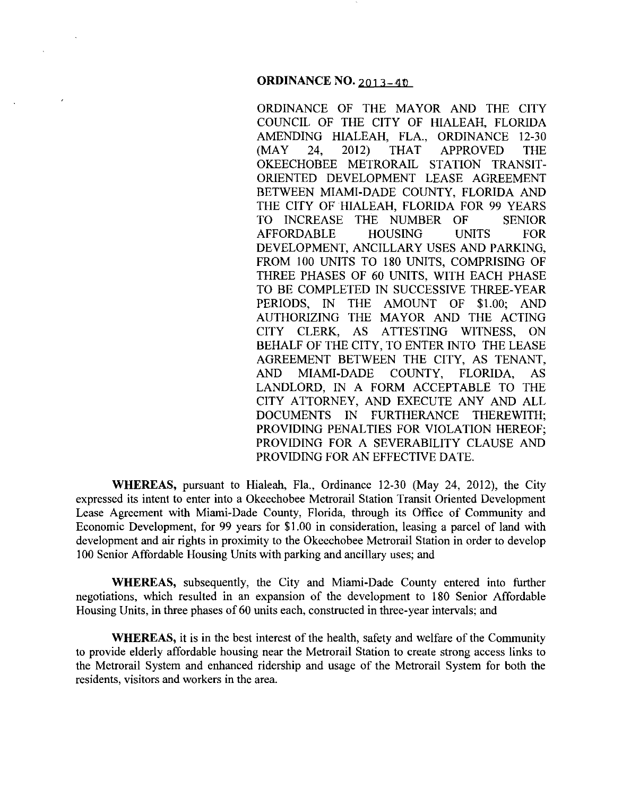## **ORDINANCE NO. 2013-40**

ORDINANCE OF THE MAYOR AND THE CITY COUNCIL OF THE CITY OF HIALEAH. FLORIDA AMENDING HIALEAH, FLA., ORDINANCE 12-30 (MAY 24, 2012) THAT APPROVED THE OKEECHOBEE METRORAIL STATION TRANSIT-ORIENTED DEVELOPMENT LEASE AGREEMENT BETWEEN MIAMI-DADE COUNTY, FLORIDA AND THE CITY OF HIALEAH, FLORIDA FOR 99 YEARS TO INCREASE THE NUMBER OF SENIOR AFFORDABLE HOUSING UNITS FOR DEVELOPMENT, ANCILLARY USES AND PARKING, FROM 100 UNITS TO 180 UNITS, COMPRISING OF THREE PHASES OF 60 UNITS, WITH EACH PHASE TO BE COMPLETED IN SUCCESSIVE THREE-YEAR PERIODS, IN THE AMOUNT OF \$1.00; AND AUTHORIZING THE MAYOR AND THE ACTING CITY CLERK, AS ATTESTING WITNESS, ON BEHALF OF THE CITY, TO ENTER INTO THE LEASE AGREEMENT BETWEEN THE CITY, AS TENANT, AND MIAMI-DADE COUNTY, FLORIDA, AS LANDLORD, IN A FORM ACCEPTABLE TO THE CITY ATTORNEY, AND EXECUTE ANY AND ALL DOCUMENTS IN FURTHERANCE THEREWITH; PROVIDING PENALTIES FOR VIOLATION HEREOF; PROVIDING FOR A SEVERABILITY CLAUSE AND PROVIDING FOR AN EFFECTIVE DATE.

**WHEREAS,** pursuant to Hialeah, Fla., Ordinance 12-30 (May 24, 2012), the City expressed its intent to enter into a Okeechobee Metrorail Station Transit Oriented Development Lease Agreement with Miami-Dade County, Florida, through its Office of Community and Economic Development, for 99 years for \$1.00 in consideration, leasing a parcel of land with development and air rights in proximity to the Okeechobee Metrorail Station in order to develop 100 Senior Affordable Housing Units with parking and ancillary uses; and

**WHEREAS,** subsequently, the City and Miami-Dade County entered into further negotiations, which resulted in an expansion of the development to 180 Senior Affordable Housing Units, in three phases of 60 units each, constructed in three-year intervals; and

**WHEREAS,** it is in the best interest of the health, safety and welfare of the Community to provide elderly affordable housing near the Metrorail Station to create strong access links to the Metrorail System and enhanced ridership and usage of the Metrorail System for both the residents, visitors and workers in the area.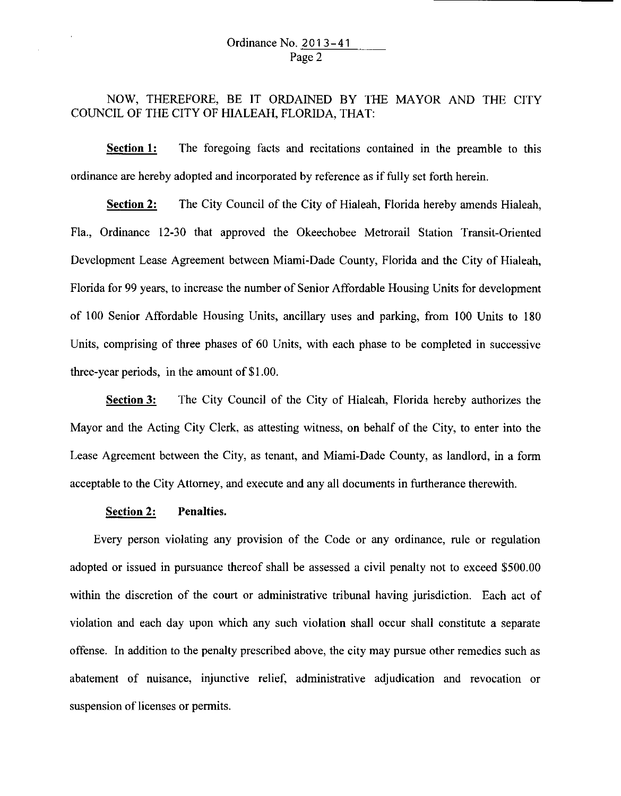# Ordinance No. 2 0 1 3-41 Page 2

NOW, THEREFORE, BE IT ORDAINED BY THE MAYOR AND THE CITY COUNCIL OF THE CITY OF HIALEAH, FLORIDA, THAT:

**Section 1:** The foregoing facts and recitations contained in the preamble to this ordinance are hereby adopted and incorporated by reference as if fully set forth herein.

**Section 2:** The City Council of the City of Hialeah, Florida hereby amends Hialeah, Fla., Ordinance 12-30 that approved the Okeechobee Metrorail Station Transit-Oriented Development Lease Agreement between Miami-Dade County, Florida and the City of Hialeah, Florida for 99 years, to increase the number of Senior Affordable Housing Units for development of 100 Senior Affordable Housing Units, ancillary uses and parking, from 100 Units to 180 Units, comprising of three phases of 60 Units, with each phase to be completed in successive three-year periods, in the amount of \$1.00.

**Section 3:** The City Council of the City of Hialeah, Florida hereby authorizes the Mayor and the Acting City Clerk, as attesting witness, on behalf of the City, to enter into the Lease Agreement between the City, as tenant, and Miami-Dade County, as landlord, in a form acceptable to the City Attorney, and execute and any all documents in furtherance therewith.

## **Section 2: Penalties.**

Every person violating any provision of the Code or any ordinance, rule or regulation adopted or issued in pursuance thereof shall be assessed a civil penalty not to exceed \$500.00 within the discretion of the court or administrative tribunal having jurisdiction. Each act of violation and each day upon which any such violation shall occur shall constitute a separate offense. In addition to the penalty prescribed above, the city may pursue other remedies such as abatement of nuisance, injunctive relief, administrative adjudication and revocation or suspension of licenses or permits.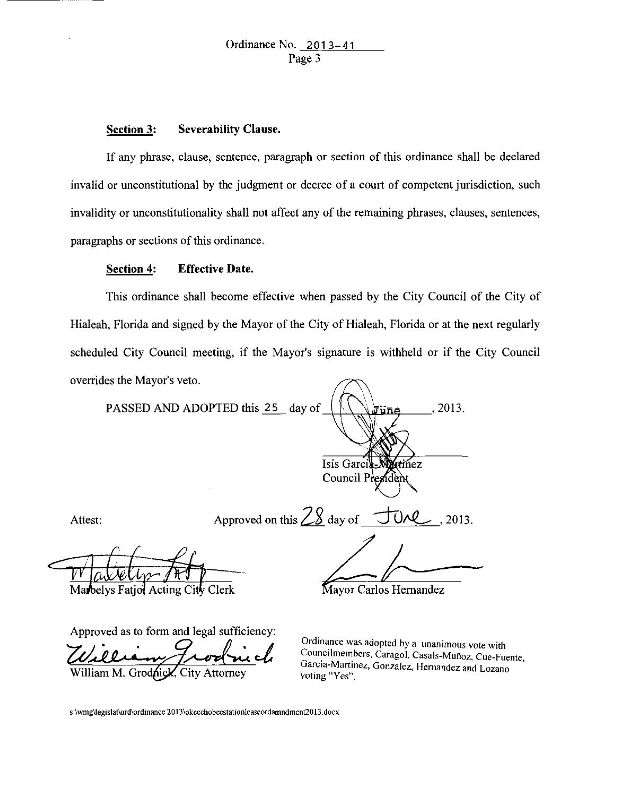#### **Section 3: Severability Clause.**

If any phrase, clause, sentence, paragraph or section of this ordinance shall be declared invalid or unconstitutional by the judgment or decree of a court of competent jurisdiction, such invalidity or unconstitutionality shall not affect any of the remaining phrases, clauses, sentences, paragraphs or sections of this ordinance.

## **Section 4: Effective Date.**

This ordinance shall become effective when passed by the City Council of the City of Hialeah, Florida and signed by the Mayor of the City of Hialeah, Florida or at the next regularly scheduled City Council meeting, if the Mayor's signature is withheld or if the City Council overrides the Mayor's veto.

PASSED AND ADOPTED this 25 day of 2013. une Isis Garci rtínez Council President Attest: Approved on this  $28$  day of  $\overline{U}$ , 2013.  $k-l$ 

Marbelys Fatjol Acting City Clerk

Approved as to form and legal sufficiency:

William M. Grodnick, City Attorney

**Ordinance was adopted by a unanimous vote with**  Councilmembers, Caragol, Casals-Muñoz, Cue-Fuente, Garcia-Martinez, Gonzalez, Hernandez and Lozano voting "Yes".

s :\ **wmg\legislat\ord\ordinance 20 13\okeechobeestationleaseordamndment20 13 . docx**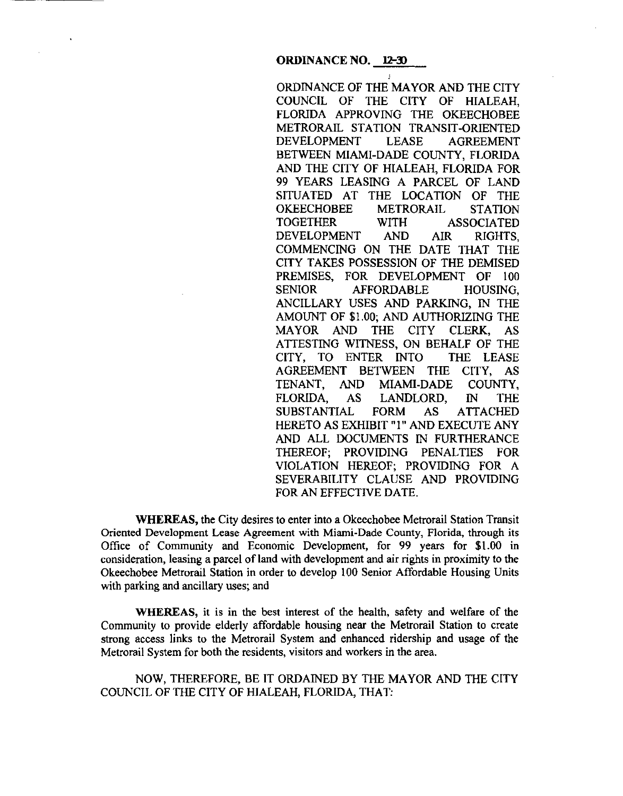ORDINANCE OF THE MAYOR AND THE CITY COUNCIL OF THE CITY OF HIALEAH, FLORIDA APPROVING THE OKEECHOBEE METRORAIL STATION TRANSIT-ORIENTED DEVELOPMENT LEASE AGREEMENT BETWEEN MIAMI-DADE COUNTY, FLORIDA AND THE CITY OF HIALEAH, FLORIDA FOR 99 YEARS LEASING A PARCEL OF LAND SITUATED AT THE LOCATION OF THE OKEECHOBEE METRORAIL STATION<br>TOGETHER WITH ASSOCIATED WITH ASSOCIATED DEVELOPMENT AND AIR RIGHTS, COMMENCING ON THE DATE THAT THE CITY TAKES POSSESSION OF THE DEMISED PREMISES, FOR DEVELOPMENT OF 100 SENIOR AFFORDABLE HOUSING, ANCILLARY USES AND PARKING, IN THE AMOUNT OF \$1.00; AND AUTHORIZING THE MAYOR AND THE CITY CLERK, AS ATTESTING WITNESS, ON BEHALF OF THE CITY, TO ENTER INTO THE LEASE AGREEMENT BETWEEN THE CITY, AS TENANT, AND MIAMI-DADE COUNTY,<br>FLORIDA. AS LANDLORD, IN THE AS LANDLORD, IN THE SUBSTANTIAL FORM AS ATTACHED HERETO AS EXHIBIT "1" AND EXECUTE ANY AND ALL DOCUMENTS IN FURTHERANCE THEREOF; PROVIDING PENALTIES FOR VIOLATION HEREOF; PROVIDING FOR A SEVERABILITY CLAUSE AND PROVIDING FOR AN EFFECTIVE DATE.

**WHEREAS,** the City desires to enter into a Okeechobee Metrorail Station Transit Oriented Development Lease Agreement with Miami-Dade County, Florida, through its Office of Community and Economic Development, for 99 years for \$I .00 in consideration, leasing a parcel of land with development and air rights in proximity to the Okeechobee Metrorail Station in order to develop 100 Senior Affordable Housing Units with parking and ancillary uses; and

**WHEREAS,** it is in the best interest of the health, safety and welfare of the Community to provide elderly affordable housing near the Metrorail Station to create strong access links to the Metrorail System and enhanced ridership and usage of the Metrorail System for both the residents, visitors and workers in the area.

NOW, THEREFORE, BE IT ORDAINED BY THE MAYOR AND THE CITY COUNCIL OF THE CITY OF HIALEAH, FLORIDA, THAT: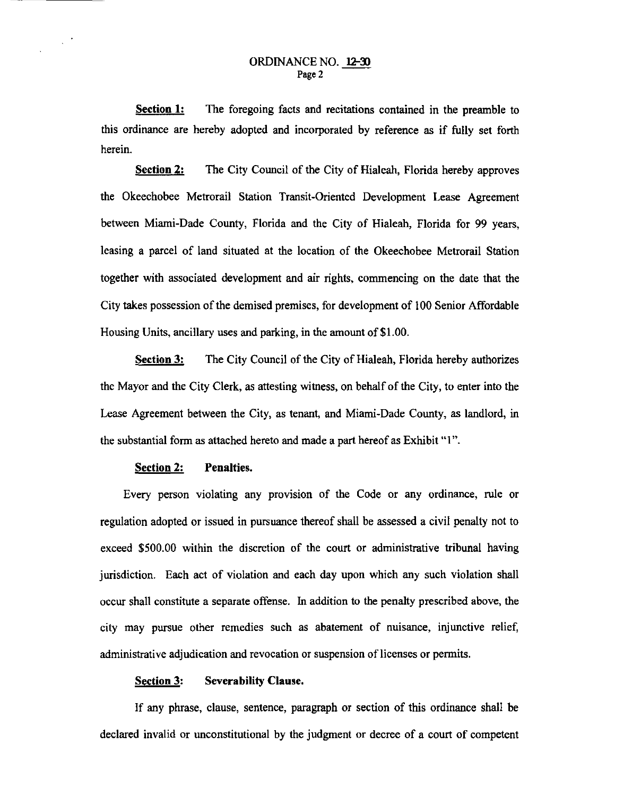**Section 1:**  The foregoing facts and recitations contained in the preamble to this ordinance are hereby adopted and incorporated by reference as if fully set forth herein.

**Section 2:** The City Council of the City of Hialeah, Florida hereby approves the Okeechobee Metrorail Station Transit-Oriented Development Lease Agreement between Miami-Dade County, Florida and the City of Hialeah, Florida for 99 years, leasing a parcel of land situated at the location of the Okeechobee Metrorail Station together with associated development and air rights, commencing on the date that the City takes possession of the demised premises, for development of I 00 Senior Affordable Housing Units, ancillary uses and parking, in the amount of \$1.00.

**Section 3:** The City Council of the City of Hialeah, Florida hereby authorizes the Mayor and the City Clerk, as attesting witness, on behalf of the City, to enter into the Lease Agreement between the City, as tenant, and Miami-Dade County, as landlord, in the substantial form as attached hereto and made a part hereof as Exhibit "I".

#### **Section 2: Penalties.**

 $\sim$   $^{\prime}$ 

Every person violating any provision of the Code or any ordinance, rule or regulation adopted or issued in pursuance thereof shall be assessed a civil penalty not to exceed \$500.00 within the discretion of the court or administrative tribunal having jurisdiction. Each act of violation and each day upon which any such violation shall occur shall constitute a separate offense. In addition to the penalty prescribed above, the city may pursue other remedies such as abatement of nuisance, injunctive relief, administrative adjudication and revocation or suspension of licenses or permits.

#### **Section 3: Severability Clause.**

If any phrase, clause, sentence, paragraph or section of this ordinance shall be declared invalid or unconstitutional by the judgment or decree of a court of competent